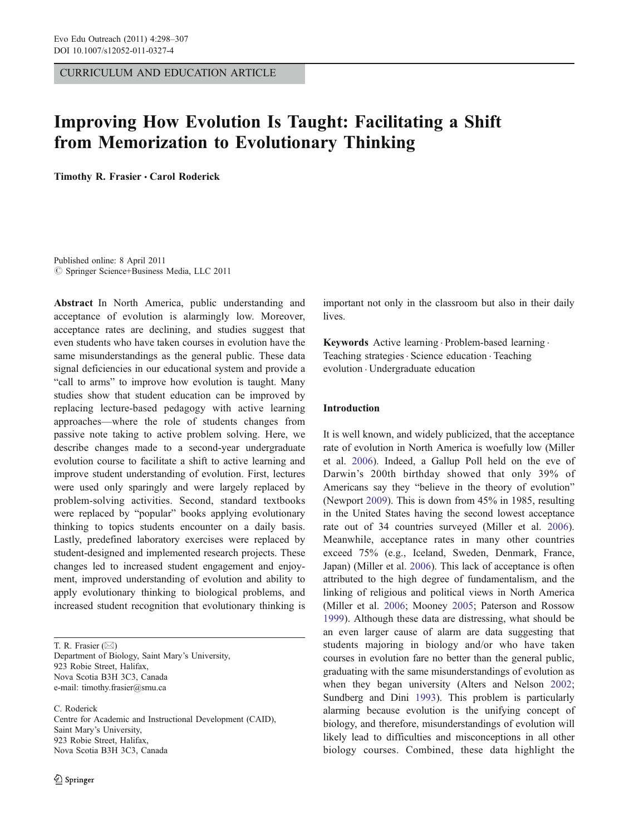CURRICULUM AND EDUCATION ARTICLE

# Improving How Evolution Is Taught: Facilitating a Shift from Memorization to Evolutionary Thinking

Timothy R. Frasier · Carol Roderick

Published online: 8 April 2011  $©$  Springer Science+Business Media, LLC 2011

Abstract In North America, public understanding and acceptance of evolution is alarmingly low. Moreover, acceptance rates are declining, and studies suggest that even students who have taken courses in evolution have the same misunderstandings as the general public. These data signal deficiencies in our educational system and provide a "call to arms" to improve how evolution is taught. Many studies show that student education can be improved by replacing lecture-based pedagogy with active learning approaches—where the role of students changes from passive note taking to active problem solving. Here, we describe changes made to a second-year undergraduate evolution course to facilitate a shift to active learning and improve student understanding of evolution. First, lectures were used only sparingly and were largely replaced by problem-solving activities. Second, standard textbooks were replaced by "popular" books applying evolutionary thinking to topics students encounter on a daily basis. Lastly, predefined laboratory exercises were replaced by student-designed and implemented research projects. These changes led to increased student engagement and enjoyment, improved understanding of evolution and ability to apply evolutionary thinking to biological problems, and increased student recognition that evolutionary thinking is

T. R. Frasier  $(\boxtimes)$ Department of Biology, Saint Mary's University, 923 Robie Street, Halifax, Nova Scotia B3H 3C3, Canada e-mail: timothy.frasier@smu.ca

C. Roderick Centre for Academic and Instructional Development (CAID), Saint Mary's University, 923 Robie Street, Halifax, Nova Scotia B3H 3C3, Canada

important not only in the classroom but also in their daily lives.

Keywords Active learning . Problem-based learning . Teaching strategies . Science education . Teaching evolution . Undergraduate education

# Introduction

It is well known, and widely publicized, that the acceptance rate of evolution in North America is woefully low (Miller et al. [2006](#page-9-0)). Indeed, a Gallup Poll held on the eve of Darwin's 200th birthday showed that only 39% of Americans say they "believe in the theory of evolution" (Newport [2009\)](#page-9-0). This is down from 45% in 1985, resulting in the United States having the second lowest acceptance rate out of 34 countries surveyed (Miller et al. [2006\)](#page-9-0). Meanwhile, acceptance rates in many other countries exceed 75% (e.g., Iceland, Sweden, Denmark, France, Japan) (Miller et al. [2006](#page-9-0)). This lack of acceptance is often attributed to the high degree of fundamentalism, and the linking of religious and political views in North America (Miller et al. [2006;](#page-9-0) Mooney [2005](#page-9-0); Paterson and Rossow [1999](#page-9-0)). Although these data are distressing, what should be an even larger cause of alarm are data suggesting that students majoring in biology and/or who have taken courses in evolution fare no better than the general public, graduating with the same misunderstandings of evolution as when they began university (Alters and Nelson [2002;](#page-8-0) Sundberg and Dini [1993](#page-9-0)). This problem is particularly alarming because evolution is the unifying concept of biology, and therefore, misunderstandings of evolution will likely lead to difficulties and misconceptions in all other biology courses. Combined, these data highlight the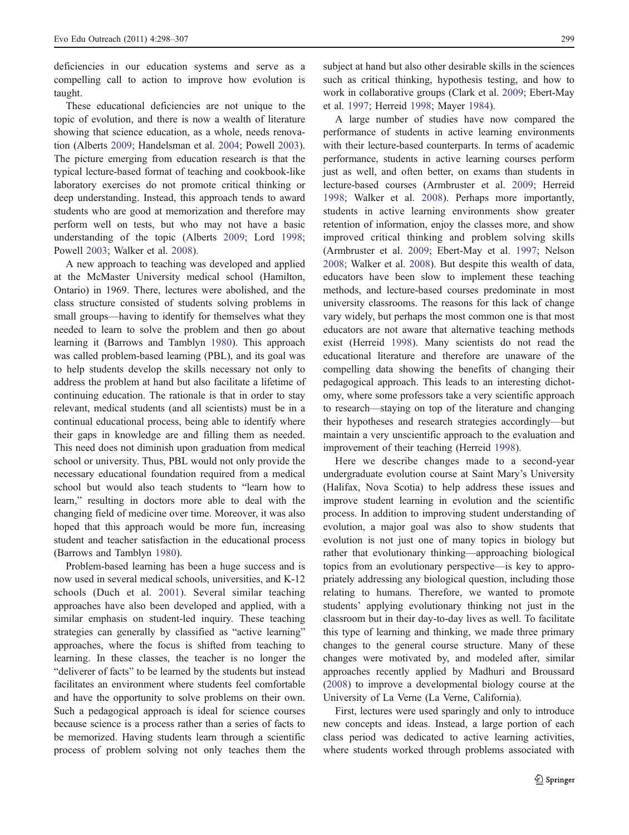deficiencies in our education systems and serve as a compelling call to action to improve how evolution is taught.

These educational deficiencies are not unique to the topic of evolution, and there is now a wealth of literature showing that science education, as a whole, needs renovation (Alberts [2009](#page-8-0); Handelsman et al. [2004;](#page-9-0) Powell [2003](#page-9-0)). The picture emerging from education research is that the typical lecture-based format of teaching and cookbook-like laboratory exercises do not promote critical thinking or deep understanding. Instead, this approach tends to award students who are good at memorization and therefore may perform well on tests, but who may not have a basic understanding of the topic (Alberts [2009;](#page-8-0) Lord [1998](#page-9-0); Powell [2003;](#page-9-0) Walker et al. [2008](#page-9-0)).

A new approach to teaching was developed and applied at the McMaster University medical school (Hamilton, Ontario) in 1969. There, lectures were abolished, and the class structure consisted of students solving problems in small groups—having to identify for themselves what they needed to learn to solve the problem and then go about learning it (Barrows and Tamblyn [1980\)](#page-8-0). This approach was called problem-based learning (PBL), and its goal was to help students develop the skills necessary not only to address the problem at hand but also facilitate a lifetime of continuing education. The rationale is that in order to stay relevant, medical students (and all scientists) must be in a continual educational process, being able to identify where their gaps in knowledge are and filling them as needed. This need does not diminish upon graduation from medical school or university. Thus, PBL would not only provide the necessary educational foundation required from a medical school but would also teach students to "learn how to learn," resulting in doctors more able to deal with the changing field of medicine over time. Moreover, it was also hoped that this approach would be more fun, increasing student and teacher satisfaction in the educational process (Barrows and Tamblyn [1980](#page-8-0)).

Problem-based learning has been a huge success and is now used in several medical schools, universities, and K-12 schools (Duch et al. [2001\)](#page-8-0). Several similar teaching approaches have also been developed and applied, with a similar emphasis on student-led inquiry. These teaching strategies can generally by classified as "active learning" approaches, where the focus is shifted from teaching to learning. In these classes, the teacher is no longer the "deliverer of facts" to be learned by the students but instead facilitates an environment where students feel comfortable and have the opportunity to solve problems on their own. Such a pedagogical approach is ideal for science courses because science is a process rather than a series of facts to be memorized. Having students learn through a scientific process of problem solving not only teaches them the subject at hand but also other desirable skills in the sciences such as critical thinking, hypothesis testing, and how to work in collaborative groups (Clark et al. [2009;](#page-8-0) Ebert-May et al. [1997](#page-9-0); Herreid [1998;](#page-9-0) Mayer [1984\)](#page-9-0).

A large number of studies have now compared the performance of students in active learning environments with their lecture-based counterparts. In terms of academic performance, students in active learning courses perform just as well, and often better, on exams than students in lecture-based courses (Armbruster et al. [2009](#page-8-0); Herreid [1998](#page-9-0); Walker et al. [2008](#page-9-0)). Perhaps more importantly, students in active learning environments show greater retention of information, enjoy the classes more, and show improved critical thinking and problem solving skills (Armbruster et al. [2009](#page-8-0); Ebert-May et al. [1997](#page-9-0); Nelson [2008](#page-9-0); Walker et al. [2008\)](#page-9-0). But despite this wealth of data, educators have been slow to implement these teaching methods, and lecture-based courses predominate in most university classrooms. The reasons for this lack of change vary widely, but perhaps the most common one is that most educators are not aware that alternative teaching methods exist (Herreid [1998](#page-9-0)). Many scientists do not read the educational literature and therefore are unaware of the compelling data showing the benefits of changing their pedagogical approach. This leads to an interesting dichotomy, where some professors take a very scientific approach to research—staying on top of the literature and changing their hypotheses and research strategies accordingly—but maintain a very unscientific approach to the evaluation and improvement of their teaching (Herreid [1998](#page-9-0)).

Here we describe changes made to a second-year undergraduate evolution course at Saint Mary's University (Halifax, Nova Scotia) to help address these issues and improve student learning in evolution and the scientific process. In addition to improving student understanding of evolution, a major goal was also to show students that evolution is not just one of many topics in biology but rather that evolutionary thinking—approaching biological topics from an evolutionary perspective—is key to appropriately addressing any biological question, including those relating to humans. Therefore, we wanted to promote students' applying evolutionary thinking not just in the classroom but in their day-to-day lives as well. To facilitate this type of learning and thinking, we made three primary changes to the general course structure. Many of these changes were motivated by, and modeled after, similar approaches recently applied by Madhuri and Broussard [\(2008](#page-9-0)) to improve a developmental biology course at the University of La Verne (La Verne, California).

First, lectures were used sparingly and only to introduce new concepts and ideas. Instead, a large portion of each class period was dedicated to active learning activities, where students worked through problems associated with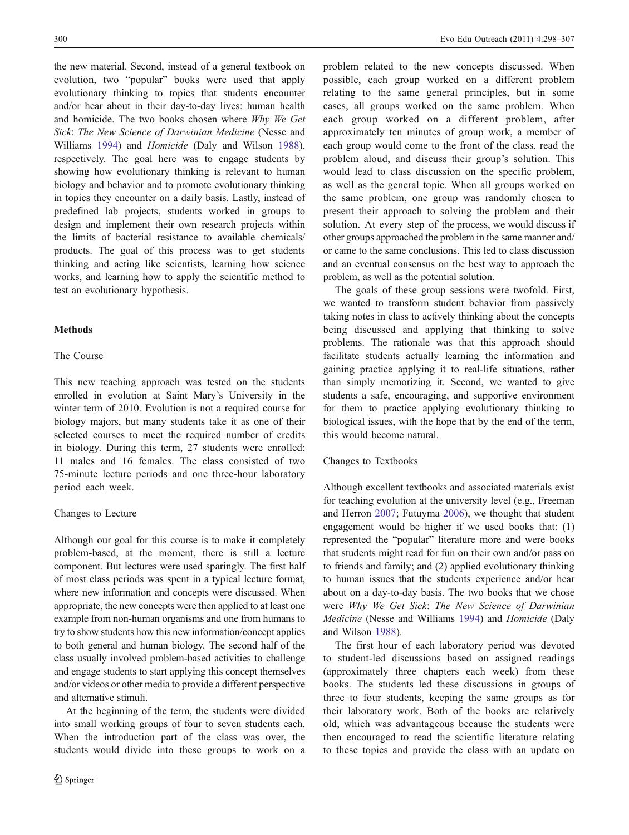the new material. Second, instead of a general textbook on evolution, two "popular" books were used that apply evolutionary thinking to topics that students encounter and/or hear about in their day-to-day lives: human health and homicide. The two books chosen where Why We Get Sick: The New Science of Darwinian Medicine (Nesse and Williams [1994\)](#page-9-0) and Homicide (Daly and Wilson [1988](#page-8-0)), respectively. The goal here was to engage students by showing how evolutionary thinking is relevant to human biology and behavior and to promote evolutionary thinking in topics they encounter on a daily basis. Lastly, instead of predefined lab projects, students worked in groups to design and implement their own research projects within the limits of bacterial resistance to available chemicals/ products. The goal of this process was to get students thinking and acting like scientists, learning how science works, and learning how to apply the scientific method to test an evolutionary hypothesis.

## Methods

## The Course

This new teaching approach was tested on the students enrolled in evolution at Saint Mary's University in the winter term of 2010. Evolution is not a required course for biology majors, but many students take it as one of their selected courses to meet the required number of credits in biology. During this term, 27 students were enrolled: 11 males and 16 females. The class consisted of two 75-minute lecture periods and one three-hour laboratory period each week.

#### Changes to Lecture

Although our goal for this course is to make it completely problem-based, at the moment, there is still a lecture component. But lectures were used sparingly. The first half of most class periods was spent in a typical lecture format, where new information and concepts were discussed. When appropriate, the new concepts were then applied to at least one example from non-human organisms and one from humans to try to show students how this new information/concept applies to both general and human biology. The second half of the class usually involved problem-based activities to challenge and engage students to start applying this concept themselves and/or videos or other media to provide a different perspective and alternative stimuli.

At the beginning of the term, the students were divided into small working groups of four to seven students each. When the introduction part of the class was over, the students would divide into these groups to work on a

problem related to the new concepts discussed. When possible, each group worked on a different problem relating to the same general principles, but in some cases, all groups worked on the same problem. When each group worked on a different problem, after approximately ten minutes of group work, a member of each group would come to the front of the class, read the problem aloud, and discuss their group's solution. This would lead to class discussion on the specific problem, as well as the general topic. When all groups worked on the same problem, one group was randomly chosen to present their approach to solving the problem and their solution. At every step of the process, we would discuss if other groups approached the problem in the same manner and/ or came to the same conclusions. This led to class discussion and an eventual consensus on the best way to approach the problem, as well as the potential solution.

The goals of these group sessions were twofold. First, we wanted to transform student behavior from passively taking notes in class to actively thinking about the concepts being discussed and applying that thinking to solve problems. The rationale was that this approach should facilitate students actually learning the information and gaining practice applying it to real-life situations, rather than simply memorizing it. Second, we wanted to give students a safe, encouraging, and supportive environment for them to practice applying evolutionary thinking to biological issues, with the hope that by the end of the term, this would become natural.

## Changes to Textbooks

Although excellent textbooks and associated materials exist for teaching evolution at the university level (e.g., Freeman and Herron [2007](#page-9-0); Futuyma [2006\)](#page-9-0), we thought that student engagement would be higher if we used books that: (1) represented the "popular" literature more and were books that students might read for fun on their own and/or pass on to friends and family; and (2) applied evolutionary thinking to human issues that the students experience and/or hear about on a day-to-day basis. The two books that we chose were Why We Get Sick: The New Science of Darwinian Medicine (Nesse and Williams [1994\)](#page-9-0) and Homicide (Daly and Wilson [1988](#page-8-0)).

The first hour of each laboratory period was devoted to student-led discussions based on assigned readings (approximately three chapters each week) from these books. The students led these discussions in groups of three to four students, keeping the same groups as for their laboratory work. Both of the books are relatively old, which was advantageous because the students were then encouraged to read the scientific literature relating to these topics and provide the class with an update on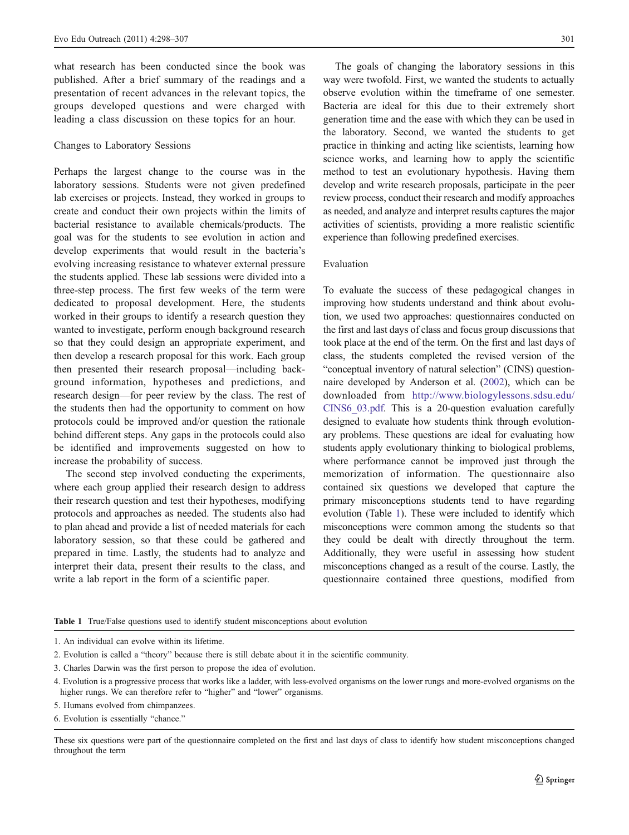what research has been conducted since the book was published. After a brief summary of the readings and a presentation of recent advances in the relevant topics, the groups developed questions and were charged with leading a class discussion on these topics for an hour.

#### Changes to Laboratory Sessions

Perhaps the largest change to the course was in the laboratory sessions. Students were not given predefined lab exercises or projects. Instead, they worked in groups to create and conduct their own projects within the limits of bacterial resistance to available chemicals/products. The goal was for the students to see evolution in action and develop experiments that would result in the bacteria's evolving increasing resistance to whatever external pressure the students applied. These lab sessions were divided into a three-step process. The first few weeks of the term were dedicated to proposal development. Here, the students worked in their groups to identify a research question they wanted to investigate, perform enough background research so that they could design an appropriate experiment, and then develop a research proposal for this work. Each group then presented their research proposal—including background information, hypotheses and predictions, and research design—for peer review by the class. The rest of the students then had the opportunity to comment on how protocols could be improved and/or question the rationale behind different steps. Any gaps in the protocols could also be identified and improvements suggested on how to increase the probability of success.

The second step involved conducting the experiments, where each group applied their research design to address their research question and test their hypotheses, modifying protocols and approaches as needed. The students also had to plan ahead and provide a list of needed materials for each laboratory session, so that these could be gathered and prepared in time. Lastly, the students had to analyze and interpret their data, present their results to the class, and write a lab report in the form of a scientific paper.

The goals of changing the laboratory sessions in this way were twofold. First, we wanted the students to actually observe evolution within the timeframe of one semester. Bacteria are ideal for this due to their extremely short generation time and the ease with which they can be used in the laboratory. Second, we wanted the students to get practice in thinking and acting like scientists, learning how science works, and learning how to apply the scientific method to test an evolutionary hypothesis. Having them develop and write research proposals, participate in the peer review process, conduct their research and modify approaches as needed, and analyze and interpret results captures the major activities of scientists, providing a more realistic scientific experience than following predefined exercises.

## Evaluation

To evaluate the success of these pedagogical changes in improving how students understand and think about evolution, we used two approaches: questionnaires conducted on the first and last days of class and focus group discussions that took place at the end of the term. On the first and last days of class, the students completed the revised version of the "conceptual inventory of natural selection" (CINS) questionnaire developed by Anderson et al. [\(2002\)](#page-8-0), which can be downloaded from [http://www.biologylessons.sdsu.edu/](http://www.biologylessons.sdsu.edu/CINS6_03.pdf) [CINS6\\_03.pdf](http://www.biologylessons.sdsu.edu/CINS6_03.pdf). This is a 20-question evaluation carefully designed to evaluate how students think through evolutionary problems. These questions are ideal for evaluating how students apply evolutionary thinking to biological problems, where performance cannot be improved just through the memorization of information. The questionnaire also contained six questions we developed that capture the primary misconceptions students tend to have regarding evolution (Table 1). These were included to identify which misconceptions were common among the students so that they could be dealt with directly throughout the term. Additionally, they were useful in assessing how student misconceptions changed as a result of the course. Lastly, the questionnaire contained three questions, modified from

Table 1 True/False questions used to identify student misconceptions about evolution

3. Charles Darwin was the first person to propose the idea of evolution.

- 5. Humans evolved from chimpanzees.
- 6. Evolution is essentially "chance."

<sup>1.</sup> An individual can evolve within its lifetime.

<sup>2.</sup> Evolution is called a "theory" because there is still debate about it in the scientific community.

<sup>4.</sup> Evolution is a progressive process that works like a ladder, with less-evolved organisms on the lower rungs and more-evolved organisms on the higher rungs. We can therefore refer to "higher" and "lower" organisms.

These six questions were part of the questionnaire completed on the first and last days of class to identify how student misconceptions changed throughout the term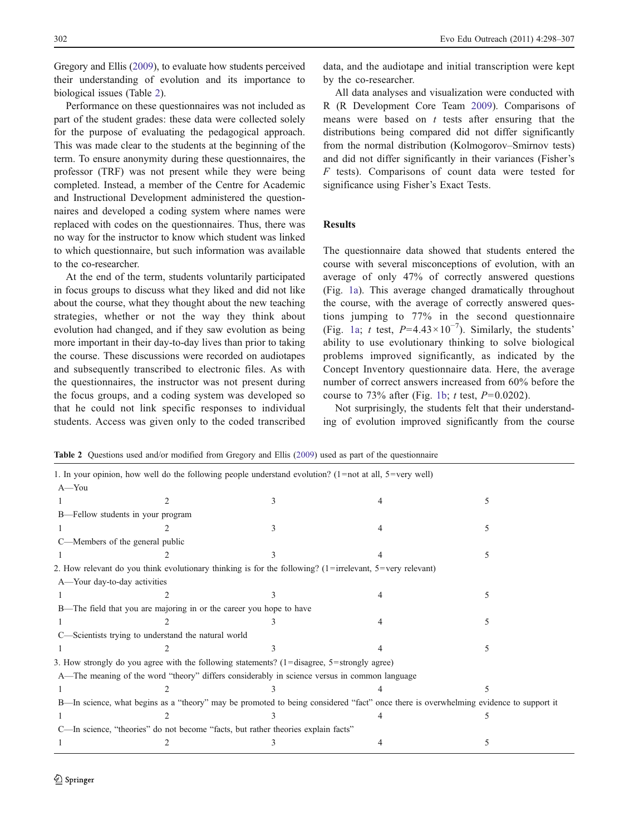<span id="page-4-0"></span>Gregory and Ellis ([2009](#page-9-0)), to evaluate how students perceived their understanding of evolution and its importance to biological issues (Table 2).

Performance on these questionnaires was not included as part of the student grades: these data were collected solely for the purpose of evaluating the pedagogical approach. This was made clear to the students at the beginning of the term. To ensure anonymity during these questionnaires, the professor (TRF) was not present while they were being completed. Instead, a member of the Centre for Academic and Instructional Development administered the questionnaires and developed a coding system where names were replaced with codes on the questionnaires. Thus, there was no way for the instructor to know which student was linked to which questionnaire, but such information was available to the co-researcher.

At the end of the term, students voluntarily participated in focus groups to discuss what they liked and did not like about the course, what they thought about the new teaching strategies, whether or not the way they think about evolution had changed, and if they saw evolution as being more important in their day-to-day lives than prior to taking the course. These discussions were recorded on audiotapes and subsequently transcribed to electronic files. As with the questionnaires, the instructor was not present during the focus groups, and a coding system was developed so that he could not link specific responses to individual students. Access was given only to the coded transcribed

data, and the audiotape and initial transcription were kept by the co-researcher.

All data analyses and visualization were conducted with R (R Development Core Team [2009](#page-9-0)). Comparisons of means were based on  $t$  tests after ensuring that the distributions being compared did not differ significantly from the normal distribution (Kolmogorov–Smirnov tests) and did not differ significantly in their variances (Fisher's F tests). Comparisons of count data were tested for significance using Fisher's Exact Tests.

# Results

The questionnaire data showed that students entered the course with several misconceptions of evolution, with an average of only 47% of correctly answered questions (Fig. [1a](#page-5-0)). This average changed dramatically throughout the course, with the average of correctly answered questions jumping to 77% in the second questionnaire (Fig. [1a;](#page-5-0) t test,  $P=4.43\times10^{-7}$ ). Similarly, the students' ability to use evolutionary thinking to solve biological problems improved significantly, as indicated by the Concept Inventory questionnaire data. Here, the average number of correct answers increased from 60% before the course to 73% after (Fig. [1b](#page-5-0); t test,  $P=0.0202$ ).

Not surprisingly, the students felt that their understanding of evolution improved significantly from the course

Table 2 Questions used and/or modified from Gregory and Ellis ([2009\)](#page-9-0) used as part of the questionnaire

|                              | 1. In your opinion, how well do the following people understand evolution? (1=not at all, 5=very well)   |  |                                                                                                                                      |
|------------------------------|----------------------------------------------------------------------------------------------------------|--|--------------------------------------------------------------------------------------------------------------------------------------|
| A—You                        |                                                                                                          |  |                                                                                                                                      |
|                              |                                                                                                          |  | 5                                                                                                                                    |
|                              | B—Fellow students in your program                                                                        |  |                                                                                                                                      |
|                              |                                                                                                          |  |                                                                                                                                      |
|                              | C—Members of the general public                                                                          |  |                                                                                                                                      |
|                              |                                                                                                          |  |                                                                                                                                      |
|                              | 2. How relevant do you think evolutionary thinking is for the following? (1=irrelevant, 5=very relevant) |  |                                                                                                                                      |
| A-Your day-to-day activities |                                                                                                          |  |                                                                                                                                      |
|                              |                                                                                                          |  |                                                                                                                                      |
|                              | B-The field that you are majoring in or the career you hope to have                                      |  |                                                                                                                                      |
|                              |                                                                                                          |  |                                                                                                                                      |
|                              | C-Scientists trying to understand the natural world                                                      |  |                                                                                                                                      |
|                              |                                                                                                          |  |                                                                                                                                      |
|                              | 3. How strongly do you agree with the following statements? (1=disagree, 5=strongly agree)               |  |                                                                                                                                      |
|                              | A—The meaning of the word "theory" differs considerably in science versus in common language             |  |                                                                                                                                      |
|                              |                                                                                                          |  |                                                                                                                                      |
|                              |                                                                                                          |  | B—In science, what begins as a "theory" may be promoted to being considered "fact" once there is overwhelming evidence to support it |
|                              |                                                                                                          |  |                                                                                                                                      |
|                              | C-In science, "theories" do not become "facts, but rather theories explain facts"                        |  |                                                                                                                                      |
|                              |                                                                                                          |  |                                                                                                                                      |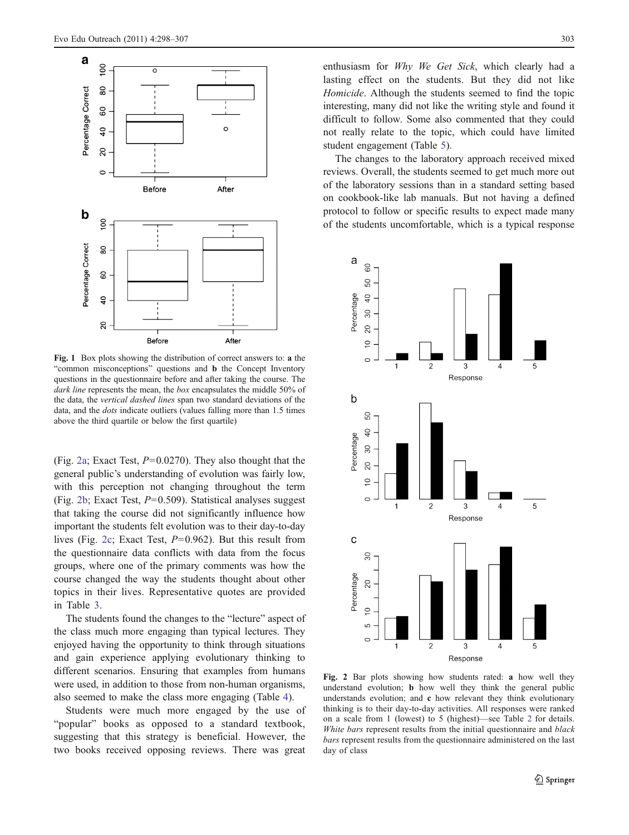<span id="page-5-0"></span>

Fig. 1 Box plots showing the distribution of correct answers to: a the "common misconceptions" questions and b the Concept Inventory questions in the questionnaire before and after taking the course. The dark line represents the mean, the box encapsulates the middle 50% of the data, the vertical dashed lines span two standard deviations of the data, and the dots indicate outliers (values falling more than 1.5 times above the third quartile or below the first quartile)

(Fig. 2a; Exact Test,  $P=0.0270$ ). They also thought that the general public's understanding of evolution was fairly low, with this perception not changing throughout the term (Fig. 2b; Exact Test,  $P=0.509$ ). Statistical analyses suggest that taking the course did not significantly influence how important the students felt evolution was to their day-to-day lives (Fig. 2c; Exact Test,  $P=0.962$ ). But this result from the questionnaire data conflicts with data from the focus groups, where one of the primary comments was how the course changed the way the students thought about other topics in their lives. Representative quotes are provided in Table [3](#page-6-0).

The students found the changes to the "lecture" aspect of the class much more engaging than typical lectures. They enjoyed having the opportunity to think through situations and gain experience applying evolutionary thinking to different scenarios. Ensuring that examples from humans were used, in addition to those from non-human organisms, also seemed to make the class more engaging (Table [4](#page-6-0)).

Students were much more engaged by the use of "popular" books as opposed to a standard textbook, suggesting that this strategy is beneficial. However, the two books received opposing reviews. There was great

enthusiasm for Why We Get Sick, which clearly had a lasting effect on the students. But they did not like Homicide. Although the students seemed to find the topic interesting, many did not like the writing style and found it difficult to follow. Some also commented that they could not really relate to the topic, which could have limited student engagement (Table [5](#page-7-0)).

The changes to the laboratory approach received mixed reviews. Overall, the students seemed to get much more out of the laboratory sessions than in a standard setting based on cookbook-like lab manuals. But not having a defined protocol to follow or specific results to expect made many of the students uncomfortable, which is a typical response



Fig. 2 Bar plots showing how students rated: a how well they understand evolution; b how well they think the general public understands evolution; and c how relevant they think evolutionary thinking is to their day-to-day activities. All responses were ranked on a scale from 1 (lowest) to 5 (highest)—see Table [2](#page-4-0) for details. White bars represent results from the initial questionnaire and black bars represent results from the questionnaire administered on the last day of class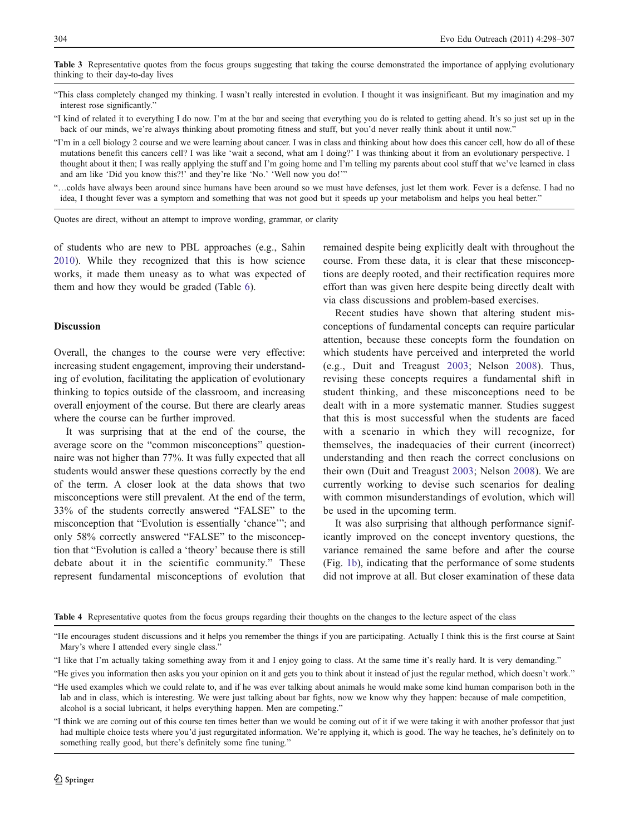<span id="page-6-0"></span>Table 3 Representative quotes from the focus groups suggesting that taking the course demonstrated the importance of applying evolutionary thinking to their day-to-day lives

"This class completely changed my thinking. I wasn't really interested in evolution. I thought it was insignificant. But my imagination and my interest rose significantly.

"I kind of related it to everything I do now. I'm at the bar and seeing that everything you do is related to getting ahead. It's so just set up in the back of our minds, we're always thinking about promoting fitness and stuff, but you'd never really think about it until now."

"I'm in a cell biology 2 course and we were learning about cancer. I was in class and thinking about how does this cancer cell, how do all of these mutations benefit this cancers cell? I was like 'wait a second, what am I doing?' I was thinking about it from an evolutionary perspective. I thought about it then; I was really applying the stuff and I'm going home and I'm telling my parents about cool stuff that we've learned in class and am like 'Did you know this?!' and they're like 'No.' 'Well now you do!'"

"…colds have always been around since humans have been around so we must have defenses, just let them work. Fever is a defense. I had no idea, I thought fever was a symptom and something that was not good but it speeds up your metabolism and helps you heal better."

Quotes are direct, without an attempt to improve wording, grammar, or clarity

of students who are new to PBL approaches (e.g., Sahin [2010\)](#page-9-0). While they recognized that this is how science works, it made them uneasy as to what was expected of them and how they would be graded (Table [6\)](#page-7-0).

#### Discussion

Overall, the changes to the course were very effective: increasing student engagement, improving their understanding of evolution, facilitating the application of evolutionary thinking to topics outside of the classroom, and increasing overall enjoyment of the course. But there are clearly areas where the course can be further improved.

It was surprising that at the end of the course, the average score on the "common misconceptions" questionnaire was not higher than 77%. It was fully expected that all students would answer these questions correctly by the end of the term. A closer look at the data shows that two misconceptions were still prevalent. At the end of the term, 33% of the students correctly answered "FALSE" to the misconception that "Evolution is essentially 'chance'"; and only 58% correctly answered "FALSE" to the misconception that "Evolution is called a 'theory' because there is still debate about it in the scientific community." These represent fundamental misconceptions of evolution that remained despite being explicitly dealt with throughout the course. From these data, it is clear that these misconceptions are deeply rooted, and their rectification requires more effort than was given here despite being directly dealt with via class discussions and problem-based exercises.

Recent studies have shown that altering student misconceptions of fundamental concepts can require particular attention, because these concepts form the foundation on which students have perceived and interpreted the world (e.g., Duit and Treagust [2003](#page-9-0); Nelson [2008\)](#page-9-0). Thus, revising these concepts requires a fundamental shift in student thinking, and these misconceptions need to be dealt with in a more systematic manner. Studies suggest that this is most successful when the students are faced with a scenario in which they will recognize, for themselves, the inadequacies of their current (incorrect) understanding and then reach the correct conclusions on their own (Duit and Treagust [2003;](#page-9-0) Nelson [2008\)](#page-9-0). We are currently working to devise such scenarios for dealing with common misunderstandings of evolution, which will be used in the upcoming term.

It was also surprising that although performance significantly improved on the concept inventory questions, the variance remained the same before and after the course (Fig. [1b](#page-5-0)), indicating that the performance of some students did not improve at all. But closer examination of these data

Table 4 Representative quotes from the focus groups regarding their thoughts on the changes to the lecture aspect of the class

<sup>&</sup>quot;He encourages student discussions and it helps you remember the things if you are participating. Actually I think this is the first course at Saint Mary's where I attended every single class."

<sup>&</sup>quot;I like that I'm actually taking something away from it and I enjoy going to class. At the same time it's really hard. It is very demanding."

<sup>&</sup>quot;He gives you information then asks you your opinion on it and gets you to think about it instead of just the regular method, which doesn't work." "He used examples which we could relate to, and if he was ever talking about animals he would make some kind human comparison both in the lab and in class, which is interesting. We were just talking about bar fights, now we know why they happen: because of male competition, alcohol is a social lubricant, it helps everything happen. Men are competing."

<sup>&</sup>quot;I think we are coming out of this course ten times better than we would be coming out of it if we were taking it with another professor that just had multiple choice tests where you'd just regurgitated information. We're applying it, which is good. The way he teaches, he's definitely on to something really good, but there's definitely some fine tuning."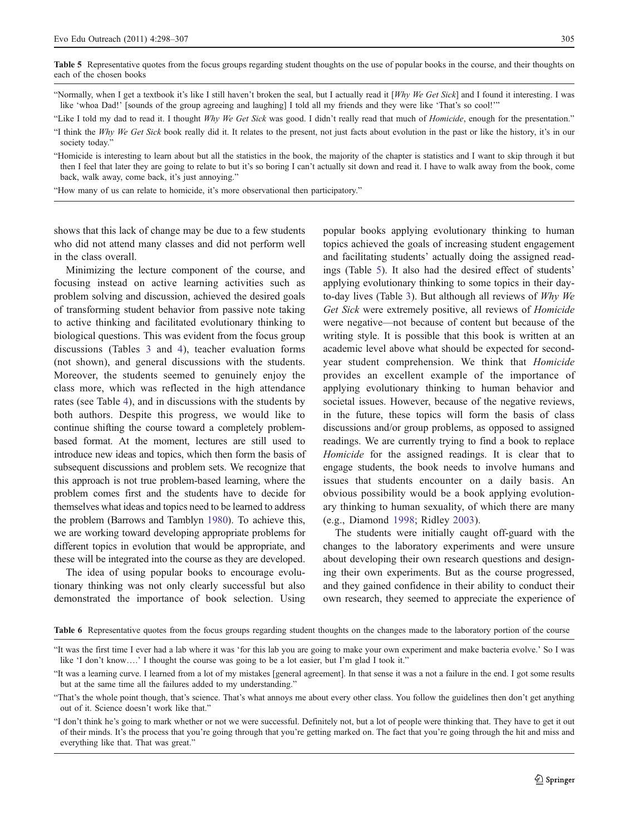<span id="page-7-0"></span>Table 5 Representative quotes from the focus groups regarding student thoughts on the use of popular books in the course, and their thoughts on each of the chosen books

"Normally, when I get a textbook it's like I still haven't broken the seal, but I actually read it [Why We Get Sick] and I found it interesting. I was like 'whoa Dad!' [sounds of the group agreeing and laughing] I told all my friends and they were like 'That's so cool!'"

"Like I told my dad to read it. I thought Why We Get Sick was good. I didn't really read that much of Homicide, enough for the presentation." "I think the Why We Get Sick book really did it. It relates to the present, not just facts about evolution in the past or like the history, it's in our society today."

"Homicide is interesting to learn about but all the statistics in the book, the majority of the chapter is statistics and I want to skip through it but then I feel that later they are going to relate to but it's so boring I can't actually sit down and read it. I have to walk away from the book, come back, walk away, come back, it's just annoying."

"How many of us can relate to homicide, it's more observational then participatory."

shows that this lack of change may be due to a few students who did not attend many classes and did not perform well in the class overall.

Minimizing the lecture component of the course, and focusing instead on active learning activities such as problem solving and discussion, achieved the desired goals of transforming student behavior from passive note taking to active thinking and facilitated evolutionary thinking to biological questions. This was evident from the focus group discussions (Tables [3](#page-6-0) and [4](#page-6-0)), teacher evaluation forms (not shown), and general discussions with the students. Moreover, the students seemed to genuinely enjoy the class more, which was reflected in the high attendance rates (see Table [4\)](#page-6-0), and in discussions with the students by both authors. Despite this progress, we would like to continue shifting the course toward a completely problembased format. At the moment, lectures are still used to introduce new ideas and topics, which then form the basis of subsequent discussions and problem sets. We recognize that this approach is not true problem-based learning, where the problem comes first and the students have to decide for themselves what ideas and topics need to be learned to address the problem (Barrows and Tamblyn [1980\)](#page-8-0). To achieve this, we are working toward developing appropriate problems for different topics in evolution that would be appropriate, and these will be integrated into the course as they are developed.

The idea of using popular books to encourage evolutionary thinking was not only clearly successful but also demonstrated the importance of book selection. Using popular books applying evolutionary thinking to human topics achieved the goals of increasing student engagement and facilitating students' actually doing the assigned readings (Table 5). It also had the desired effect of students' applying evolutionary thinking to some topics in their dayto-day lives (Table [3](#page-6-0)). But although all reviews of Why We Get Sick were extremely positive, all reviews of Homicide were negative—not because of content but because of the writing style. It is possible that this book is written at an academic level above what should be expected for secondyear student comprehension. We think that Homicide provides an excellent example of the importance of applying evolutionary thinking to human behavior and societal issues. However, because of the negative reviews, in the future, these topics will form the basis of class discussions and/or group problems, as opposed to assigned readings. We are currently trying to find a book to replace Homicide for the assigned readings. It is clear that to engage students, the book needs to involve humans and issues that students encounter on a daily basis. An obvious possibility would be a book applying evolutionary thinking to human sexuality, of which there are many (e.g., Diamond [1998;](#page-8-0) Ridley [2003\)](#page-9-0).

The students were initially caught off-guard with the changes to the laboratory experiments and were unsure about developing their own research questions and designing their own experiments. But as the course progressed, and they gained confidence in their ability to conduct their own research, they seemed to appreciate the experience of

Table 6 Representative quotes from the focus groups regarding student thoughts on the changes made to the laboratory portion of the course

<sup>&</sup>quot;It was the first time I ever had a lab where it was 'for this lab you are going to make your own experiment and make bacteria evolve.' So I was like 'I don't know….' I thought the course was going to be a lot easier, but I'm glad I took it."

<sup>&</sup>quot;It was a learning curve. I learned from a lot of my mistakes [general agreement]. In that sense it was a not a failure in the end. I got some results but at the same time all the failures added to my understanding.'

<sup>&</sup>quot;That's the whole point though, that's science. That's what annoys me about every other class. You follow the guidelines then don't get anything out of it. Science doesn't work like that."

<sup>&</sup>quot;I don't think he's going to mark whether or not we were successful. Definitely not, but a lot of people were thinking that. They have to get it out of their minds. It's the process that you're going through that you're getting marked on. The fact that you're going through the hit and miss and everything like that. That was great."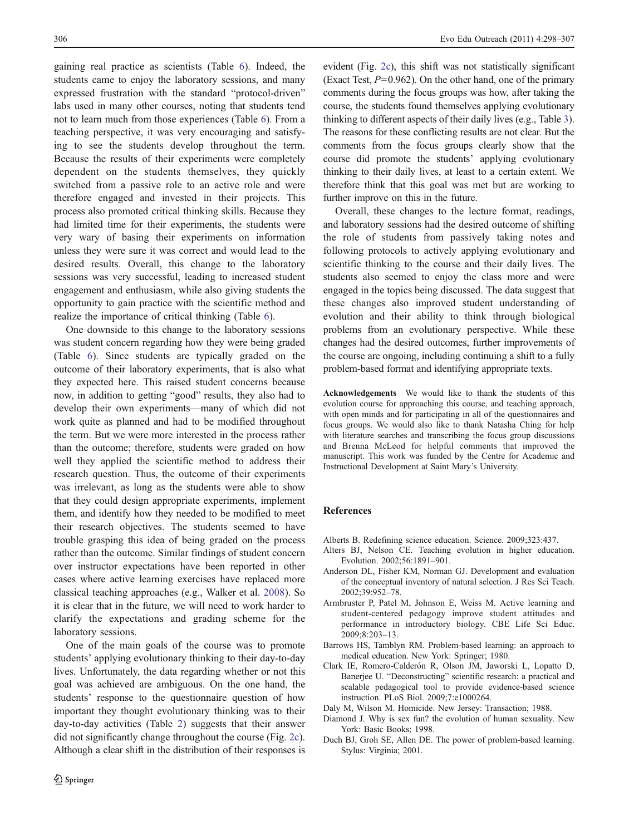<span id="page-8-0"></span>gaining real practice as scientists (Table [6\)](#page-7-0). Indeed, the students came to enjoy the laboratory sessions, and many expressed frustration with the standard "protocol-driven" labs used in many other courses, noting that students tend not to learn much from those experiences (Table [6](#page-7-0)). From a teaching perspective, it was very encouraging and satisfying to see the students develop throughout the term. Because the results of their experiments were completely dependent on the students themselves, they quickly switched from a passive role to an active role and were therefore engaged and invested in their projects. This process also promoted critical thinking skills. Because they had limited time for their experiments, the students were very wary of basing their experiments on information unless they were sure it was correct and would lead to the desired results. Overall, this change to the laboratory sessions was very successful, leading to increased student engagement and enthusiasm, while also giving students the opportunity to gain practice with the scientific method and realize the importance of critical thinking (Table [6](#page-7-0)).

One downside to this change to the laboratory sessions was student concern regarding how they were being graded (Table [6\)](#page-7-0). Since students are typically graded on the outcome of their laboratory experiments, that is also what they expected here. This raised student concerns because now, in addition to getting "good" results, they also had to develop their own experiments—many of which did not work quite as planned and had to be modified throughout the term. But we were more interested in the process rather than the outcome; therefore, students were graded on how well they applied the scientific method to address their research question. Thus, the outcome of their experiments was irrelevant, as long as the students were able to show that they could design appropriate experiments, implement them, and identify how they needed to be modified to meet their research objectives. The students seemed to have trouble grasping this idea of being graded on the process rather than the outcome. Similar findings of student concern over instructor expectations have been reported in other cases where active learning exercises have replaced more classical teaching approaches (e.g., Walker et al. [2008\)](#page-9-0). So it is clear that in the future, we will need to work harder to clarify the expectations and grading scheme for the laboratory sessions.

One of the main goals of the course was to promote students' applying evolutionary thinking to their day-to-day lives. Unfortunately, the data regarding whether or not this goal was achieved are ambiguous. On the one hand, the students' response to the questionnaire question of how important they thought evolutionary thinking was to their day-to-day activities (Table [2](#page-4-0)) suggests that their answer did not significantly change throughout the course (Fig. [2c](#page-5-0)). Although a clear shift in the distribution of their responses is

evident (Fig. [2c\)](#page-5-0), this shift was not statistically significant (Exact Test,  $P=0.962$ ). On the other hand, one of the primary comments during the focus groups was how, after taking the course, the students found themselves applying evolutionary thinking to different aspects of their daily lives (e.g., Table [3\)](#page-6-0). The reasons for these conflicting results are not clear. But the comments from the focus groups clearly show that the course did promote the students' applying evolutionary thinking to their daily lives, at least to a certain extent. We therefore think that this goal was met but are working to further improve on this in the future.

Overall, these changes to the lecture format, readings, and laboratory sessions had the desired outcome of shifting the role of students from passively taking notes and following protocols to actively applying evolutionary and scientific thinking to the course and their daily lives. The students also seemed to enjoy the class more and were engaged in the topics being discussed. The data suggest that these changes also improved student understanding of evolution and their ability to think through biological problems from an evolutionary perspective. While these changes had the desired outcomes, further improvements of the course are ongoing, including continuing a shift to a fully problem-based format and identifying appropriate texts.

Acknowledgements We would like to thank the students of this evolution course for approaching this course, and teaching approach, with open minds and for participating in all of the questionnaires and focus groups. We would also like to thank Natasha Ching for help with literature searches and transcribing the focus group discussions and Brenna McLeod for helpful comments that improved the manuscript. This work was funded by the Centre for Academic and Instructional Development at Saint Mary's University.

#### References

- Alberts B. Redefining science education. Science. 2009;323:437.
- Alters BJ, Nelson CE. Teaching evolution in higher education. Evolution. 2002;56:1891–901.
- Anderson DL, Fisher KM, Norman GJ. Development and evaluation of the conceptual inventory of natural selection. J Res Sci Teach. 2002;39:952–78.
- Armbruster P, Patel M, Johnson E, Weiss M. Active learning and student-centered pedagogy improve student attitudes and performance in introductory biology. CBE Life Sci Educ. 2009;8:203–13.
- Barrows HS, Tamblyn RM. Problem-based learning: an approach to medical education. New York: Springer; 1980.
- Clark IE, Romero-Calderón R, Olson JM, Jaworski L, Lopatto D, Banerjee U. "Deconstructing" scientific research: a practical and scalable pedagogical tool to provide evidence-based science instruction. PLoS Biol. 2009;7:e1000264.
- Daly M, Wilson M. Homicide. New Jersey: Transaction; 1988.
- Diamond J. Why is sex fun? the evolution of human sexuality. New York: Basic Books; 1998.
- Duch BJ, Groh SE, Allen DE. The power of problem-based learning. Stylus: Virginia; 2001.